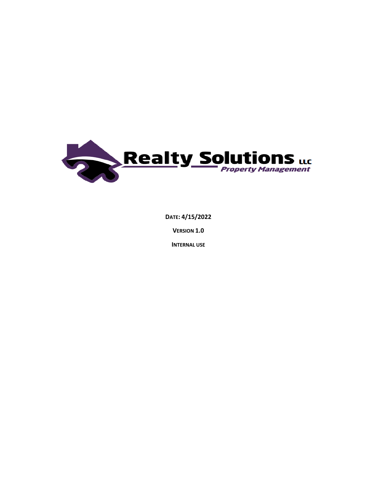

DATE: 4/15/2022

**VERSION 1.0** 

**INTERNAL USE**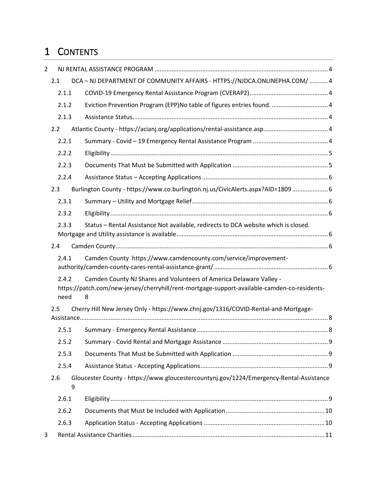# 1 CONTENTS

| $\overline{2}$ |                                                                                    |                                                                                                                                                                          |
|----------------|------------------------------------------------------------------------------------|--------------------------------------------------------------------------------------------------------------------------------------------------------------------------|
|                | 2.1                                                                                | DCA - NJ DEPARTMENT OF COMMUNITY AFFAIRS - HTTPS://NJDCA.ONLINEPHA.COM/ 4                                                                                                |
|                | 2.1.1                                                                              |                                                                                                                                                                          |
|                | 2.1.2                                                                              | Eviction Prevention Program (EPP)No table of figures entries found.  4                                                                                                   |
|                | 2.1.3                                                                              |                                                                                                                                                                          |
|                | 2.2                                                                                |                                                                                                                                                                          |
|                | 2.2.1                                                                              |                                                                                                                                                                          |
|                | 2.2.2                                                                              |                                                                                                                                                                          |
|                | 2.2.3                                                                              |                                                                                                                                                                          |
|                | 2.2.4                                                                              |                                                                                                                                                                          |
|                | 2.3                                                                                | Burlington County - https://www.co.burlington.nj.us/CivicAlerts.aspx?AID=1809  6                                                                                         |
|                | 2.3.1                                                                              |                                                                                                                                                                          |
|                | 2.3.2                                                                              |                                                                                                                                                                          |
|                | 2.3.3                                                                              | Status - Rental Assistance Not available, redirects to DCA website which is closed.                                                                                      |
|                | 2.4                                                                                |                                                                                                                                                                          |
|                | 2.4.1                                                                              | Camden County https://www.camdencounty.com/service/improvement-                                                                                                          |
|                | 2.4.2<br>need                                                                      | Camden County NJ Shares and Volunteers of America Delaware Valley -<br>https://patch.com/new-jersey/cherryhill/rent-mortgage-support-available-camden-co-residents-<br>8 |
|                | Cherry Hill New Jersey Only - https://www.chnj.gov/1316/COVID-Rental-and-Mortgage- |                                                                                                                                                                          |
|                | 2.5.1                                                                              |                                                                                                                                                                          |
| 2.5.2<br>2.5.3 |                                                                                    |                                                                                                                                                                          |
|                |                                                                                    |                                                                                                                                                                          |
|                | 2.5.4                                                                              |                                                                                                                                                                          |
|                | 2.6<br>9                                                                           | Gloucester County - https://www.gloucestercountynj.gov/1224/Emergency-Rental-Assistance                                                                                  |
|                | 2.6.1                                                                              |                                                                                                                                                                          |
|                | 2.6.2                                                                              |                                                                                                                                                                          |
|                | 2.6.3                                                                              |                                                                                                                                                                          |
| 3              |                                                                                    |                                                                                                                                                                          |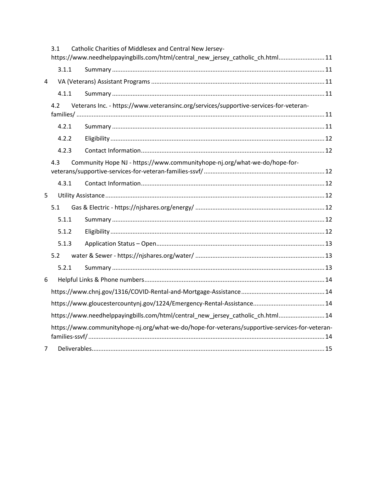| Catholic Charities of Middlesex and Central New Jersey-<br>3.1 |                                                                                                |                                                                                       |  |
|----------------------------------------------------------------|------------------------------------------------------------------------------------------------|---------------------------------------------------------------------------------------|--|
|                                                                |                                                                                                | https://www.needhelppayingbills.com/html/central_new_jersey_catholic_ch.html 11       |  |
|                                                                | 3.1.1                                                                                          |                                                                                       |  |
| 4                                                              |                                                                                                |                                                                                       |  |
|                                                                | 4.1.1                                                                                          |                                                                                       |  |
|                                                                | 4.2                                                                                            | Veterans Inc. - https://www.veteransinc.org/services/supportive-services-for-veteran- |  |
|                                                                |                                                                                                |                                                                                       |  |
|                                                                | 4.2.1                                                                                          |                                                                                       |  |
|                                                                | 4.2.2                                                                                          |                                                                                       |  |
|                                                                | 4.2.3                                                                                          |                                                                                       |  |
|                                                                | 4.3                                                                                            | Community Hope NJ - https://www.communityhope-nj.org/what-we-do/hope-for-             |  |
|                                                                |                                                                                                |                                                                                       |  |
|                                                                | 4.3.1                                                                                          |                                                                                       |  |
| 5                                                              |                                                                                                |                                                                                       |  |
|                                                                | 5.1                                                                                            |                                                                                       |  |
|                                                                | 5.1.1                                                                                          |                                                                                       |  |
|                                                                | 5.1.2                                                                                          |                                                                                       |  |
|                                                                | 5.1.3                                                                                          |                                                                                       |  |
|                                                                | 5.2                                                                                            |                                                                                       |  |
|                                                                | 5.2.1                                                                                          |                                                                                       |  |
| 6                                                              |                                                                                                |                                                                                       |  |
|                                                                |                                                                                                |                                                                                       |  |
|                                                                |                                                                                                |                                                                                       |  |
|                                                                | https://www.needhelppayingbills.com/html/central_new_jersey_catholic_ch.html 14                |                                                                                       |  |
|                                                                | https://www.communityhope-nj.org/what-we-do/hope-for-veterans/supportive-services-for-veteran- |                                                                                       |  |
|                                                                |                                                                                                |                                                                                       |  |
| 7                                                              |                                                                                                |                                                                                       |  |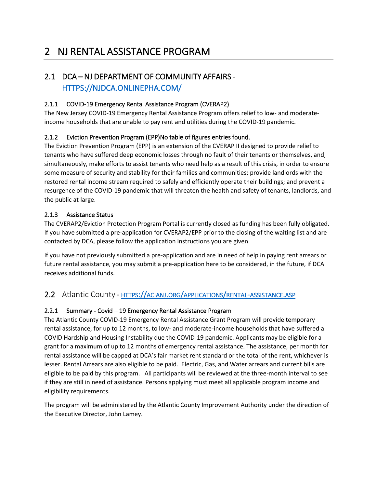# <span id="page-3-0"></span>2 NJ RENTAL ASSISTANCE PROGRAM

## <span id="page-3-1"></span>2.1 DCA – NJ DEPARTMENT OF COMMUNITY AFFAIRS - [HTTPS://NJDCA.ONLINEPHA.COM/](https://njdca.onlinepha.com/)

#### <span id="page-3-2"></span>2.1.1 COVID-19 Emergency Rental Assistance Program (CVERAP2)

The New Jersey COVID-19 Emergency Rental Assistance Program offers relief to low- and moderateincome households that are unable to pay rent and utilities during the COVID-19 pandemic.

#### <span id="page-3-3"></span>2.1.2 Eviction Prevention Program (EPP)No table of figures entries found.

The Eviction Prevention Program (EPP) is an extension of the CVERAP II designed to provide relief to tenants who have suffered deep economic losses through no fault of their tenants or themselves, and, simultaneously, make efforts to assist tenants who need help as a result of this crisis, in order to ensure some measure of security and stability for their families and communities; provide landlords with the restored rental income stream required to safely and efficiently operate their buildings; and prevent a resurgence of the COVID-19 pandemic that will threaten the health and safety of tenants, landlords, and the public at large.

#### <span id="page-3-4"></span>2.1.3 Assistance Status

The CVERAP2/Eviction Protection Program Portal is currently closed as funding has been fully obligated. If you have submitted a pre-application for CVERAP2/EPP prior to the closing of the waiting list and are contacted by DCA, please follow the application instructions you are given.

If you have not previously submitted a pre-application and are in need of help in paying rent arrears or future rental assistance, you may submit a pre-application here to be considered, in the future, if DCA receives additional funds.

## <span id="page-3-5"></span>2.2 Atlantic County - HTTPS://ACIANJ.ORG/[APPLICATIONS](https://acianj.org/applications/rental-assistance.asp)/RENTAL-ASSISTANCE.ASP

#### <span id="page-3-6"></span>2.2.1 Summary - Covid – 19 Emergency Rental Assistance Program

The Atlantic County COVID-19 Emergency Rental Assistance Grant Program will provide temporary rental assistance, for up to 12 months, to low- and moderate-income households that have suffered a COVID Hardship and Housing Instability due the COVID-19 pandemic. Applicants may be eligible for a grant for a maximum of up to 12 months of emergency rental assistance. The assistance, per month for rental assistance will be capped at DCA's fair market rent standard or the total of the rent, whichever is lesser. Rental Arrears are also eligible to be paid. Electric, Gas, and Water arrears and current bills are eligible to be paid by this program. All participants will be reviewed at the three-month interval to see if they are still in need of assistance. Persons applying must meet all applicable program income and eligibility requirements.

The program will be administered by the Atlantic County Improvement Authority under the direction of the Executive Director, John Lamey.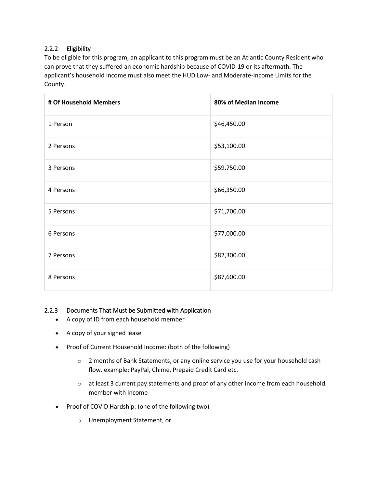#### <span id="page-4-0"></span>2.2.2 Eligibility

To be eligible for this program, an applicant to this program must be an Atlantic County Resident who can prove that they suffered an economic hardship because of COVID-19 or its aftermath. The applicant's household income must also meet the HUD Low- and Moderate-Income Limits for the County.

| # Of Household Members | 80% of Median Income |
|------------------------|----------------------|
| 1 Person               | \$46,450.00          |
| 2 Persons              | \$53,100.00          |
| 3 Persons              | \$59,750.00          |
| 4 Persons              | \$66,350.00          |
| 5 Persons              | \$71,700.00          |
| 6 Persons              | \$77,000.00          |
| 7 Persons              | \$82,300.00          |
| 8 Persons              | \$87,600.00          |

#### <span id="page-4-1"></span>2.2.3 Documents That Must be Submitted with Application

- A copy of ID from each household member
- A copy of your signed lease
- Proof of Current Household Income: (both of the following)
	- $\circ$  2 months of Bank Statements, or any online service you use for your household cash flow. example: PayPal, Chime, Prepaid Credit Card etc.
	- $\circ$  at least 3 current pay statements and proof of any other income from each household member with income
- Proof of COVID Hardship: (one of the following two)
	- o Unemployment Statement, or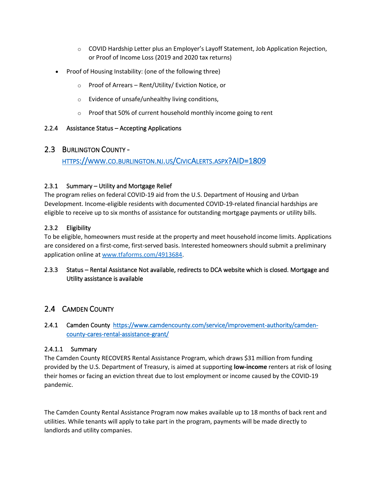- $\circ$  COVID Hardship Letter plus an Employer's Layoff Statement, Job Application Rejection, or Proof of Income Loss (2019 and 2020 tax returns)
- Proof of Housing Instability: (one of the following three)
	- o Proof of Arrears Rent/Utility/ Eviction Notice, or
	- o Evidence of unsafe/unhealthy living conditions,
	- o Proof that 50% of current household monthly income going to rent

#### <span id="page-5-1"></span><span id="page-5-0"></span>2.2.4 Assistance Status – Accepting Applications

#### 2.3 BURLINGTON COUNTY -

#### HTTPS://WWW.CO.BURLINGTON.NJ.US/CIVICALERTS.ASPX[?AID=1809](https://www.co.burlington.nj.us/CivicAlerts.aspx?AID=1809)

#### <span id="page-5-2"></span>2.3.1 Summary – Utility and Mortgage Relief

The program relies on federal COVID-19 aid from the U.S. Department of Housing and Urban Development. Income-eligible residents with documented COVID-19-related financial hardships are eligible to receive up to six months of assistance for outstanding mortgage payments or utility bills.

#### <span id="page-5-3"></span>2.3.2 Eligibility

To be eligible, homeowners must reside at the property and meet household income limits. Applications are considered on a first-come, first-served basis. Interested homeowners should submit a preliminary application online at [www.tfaforms.com/4913684.](http://www.tfaforms.com/4913684)

#### <span id="page-5-4"></span>2.3.3 Status – Rental Assistance Not available, redirects to DCA website which is closed. Mortgage and Utility assistance is available

#### <span id="page-5-5"></span>2.4 CAMDEN COUNTY

#### <span id="page-5-6"></span>2.4.1 Camden County[https://www.camdencounty.com/service/improvement-authority/camden](https://www.camdencounty.com/service/improvement-authority/camden-county-cares-rental-assistance-grant/)[county-cares-rental-assistance-grant/](https://www.camdencounty.com/service/improvement-authority/camden-county-cares-rental-assistance-grant/)

#### 2.4.1.1 Summary

The Camden County RECOVERS Rental Assistance Program, which draws \$31 million from funding provided by the U.S. Department of Treasury, is aimed at supporting **low-income** renters at risk of losing their homes or facing an eviction threat due to lost employment or income caused by the COVID-19 pandemic.

The Camden County Rental Assistance Program now makes available up to 18 months of back rent and utilities. While tenants will apply to take part in the program, payments will be made directly to landlords and utility companies.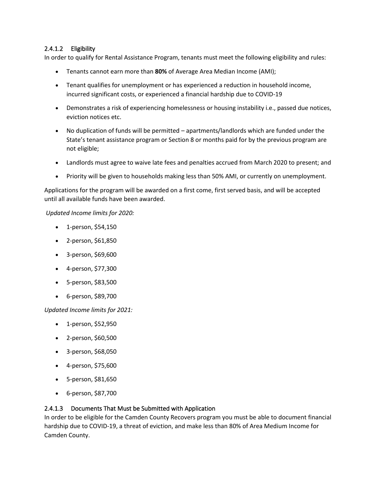#### 2.4.1.2 Eligibility

In order to qualify for Rental Assistance Program, tenants must meet the following eligibility and rules:

- Tenants cannot earn more than **80%** of Average Area Median Income (AMI);
- Tenant qualifies for unemployment or has experienced a reduction in household income, incurred significant costs, or experienced a financial hardship due to COVID-19
- Demonstrates a risk of experiencing homelessness or housing instability i.e., passed due notices, eviction notices etc.
- No duplication of funds will be permitted apartments/landlords which are funded under the State's tenant assistance program or Section 8 or months paid for by the previous program are not eligible;
- Landlords must agree to waive late fees and penalties accrued from March 2020 to present; and
- Priority will be given to households making less than 50% AMI, or currently on unemployment.

Applications for the program will be awarded on a first come, first served basis, and will be accepted until all available funds have been awarded.

*Updated Income limits for 2020:*

- 1-person, \$54,150
- 2-person, \$61,850
- 3-person, \$69,600
- 4-person, \$77,300
- 5-person, \$83,500
- 6-person, \$89,700

*Updated Income limits for 2021:*

- 1-person, \$52,950
- 2-person, \$60,500
- 3-person, \$68,050
- 4-person, \$75,600
- 5-person, \$81,650
- 6-person, \$87,700

#### 2.4.1.3 Documents That Must be Submitted with Application

In order to be eligible for the Camden County Recovers program you must be able to document financial hardship due to COVID-19, a threat of eviction, and make less than 80% of Area Medium Income for Camden County.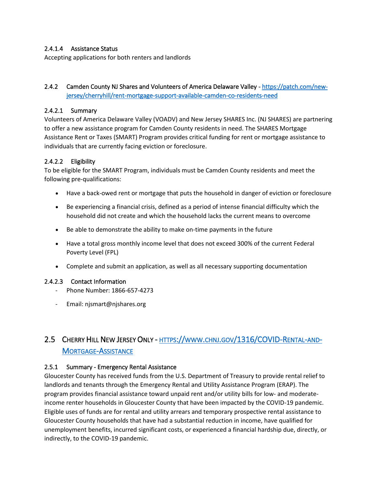#### 2.4.1.4 Assistance Status

Accepting applications for both renters and landlords

#### <span id="page-7-0"></span>2.4.2 Camden County NJ Shares and Volunteers of America Delaware Valley [- https://patch.com/new](https://patch.com/new-jersey/cherryhill/rent-mortgage-support-available-camden-co-residents-need)[jersey/cherryhill/rent-mortgage-support-available-camden-co-residents-need](https://patch.com/new-jersey/cherryhill/rent-mortgage-support-available-camden-co-residents-need)

#### 2.4.2.1 Summary

Volunteers of America Delaware Valley (VOADV) and New Jersey SHARES Inc. (NJ SHARES) are partnering to offer a new assistance program for Camden County residents in need. The SHARES Mortgage Assistance Rent or Taxes (SMART) Program provides critical funding for rent or mortgage assistance to individuals that are currently facing eviction or foreclosure.

#### 2.4.2.2 Eligibility

To be eligible for the SMART Program, individuals must be Camden County residents and meet the following pre-qualifications:

- Have a back-owed rent or mortgage that puts the household in danger of eviction or foreclosure
- Be experiencing a financial crisis, defined as a period of intense financial difficulty which the household did not create and which the household lacks the current means to overcome
- Be able to demonstrate the ability to make on-time payments in the future
- Have a total gross monthly income level that does not exceed 300% of the current Federal Poverty Level (FPL)
- Complete and submit an application, as well as all necessary supporting documentation

#### 2.4.2.3 Contact Information

- Phone Number: 1866-657-4273
- Email: njsmart@njshares.org

## <span id="page-7-1"></span>2.5 CHERRY HILL NEW JERSEY ONLY - HTTPS://WWW.CHNJ.GOV[/1316/COVID-R](https://www.chnj.gov/1316/COVID-Rental-and-Mortgage-Assistance)ENTAL-AND-MORTGAGE-A[SSISTANCE](https://www.chnj.gov/1316/COVID-Rental-and-Mortgage-Assistance)

#### <span id="page-7-2"></span>2.5.1 Summary - Emergency Rental Assistance

Gloucester County has received funds from the U.S. Department of Treasury to provide rental relief to landlords and tenants through the Emergency Rental and Utility Assistance Program (ERAP). The program provides financial assistance toward unpaid rent and/or utility bills for low- and moderateincome renter households in Gloucester County that have been impacted by the COVID-19 pandemic. Eligible uses of funds are for rental and utility arrears and temporary prospective rental assistance to Gloucester County households that have had a substantial reduction in income, have qualified for unemployment benefits, incurred significant costs, or experienced a financial hardship due, directly, or indirectly, to the COVID-19 pandemic.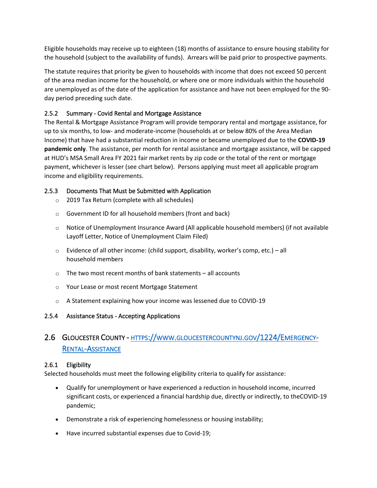Eligible households may receive up to eighteen (18) months of assistance to ensure housing stability for the household (subject to the availability of funds). Arrears will be paid prior to prospective payments.

The statute requires that priority be given to households with income that does not exceed 50 percent of the area median income for the household, or where one or more individuals within the household are unemployed as of the date of the application for assistance and have not been employed for the 90 day period preceding such date.

#### <span id="page-8-0"></span>2.5.2 Summary - Covid Rental and Mortgage Assistance

The Rental & Mortgage Assistance Program will provide temporary rental and mortgage assistance, for up to six months, to low- and moderate-income (households at or below 80% of the Area Median Income) that have had a substantial reduction in income or became unemployed due to the **COVID-19 pandemic only**. The assistance, per month for rental assistance and mortgage assistance, will be capped at HUD's MSA Small Area FY 2021 fair market rents by zip code or the total of the rent or mortgage payment, whichever is lesser (see chart below). Persons applying must meet all applicable program income and eligibility requirements.

#### <span id="page-8-1"></span>2.5.3 Documents That Must be Submitted with Application

- o 2019 Tax Return (complete with all schedules)
- o Government ID for all household members (front and back)
- $\circ$  Notice of Unemployment Insurance Award (All applicable household members) (if not available Layoff Letter, Notice of Unemployment Claim Filed)
- $\circ$  Evidence of all other income: (child support, disability, worker's comp, etc.) all household members
- $\circ$  The two most recent months of bank statements all accounts
- o Your Lease or most recent Mortgage Statement
- o A Statement explaining how your income was lessened due to COVID-19

#### <span id="page-8-3"></span><span id="page-8-2"></span>2.5.4 Assistance Status - Accepting Applications

## 2.6 GLOUCESTER COUNTY - HTTPS://WWW.[GLOUCESTERCOUNTYNJ](https://www.gloucestercountynj.gov/1224/Emergency-Rental-Assistance).GOV/1224/EMERGENCY-RENTAL-A[SSISTANCE](https://www.gloucestercountynj.gov/1224/Emergency-Rental-Assistance)

#### <span id="page-8-4"></span>2.6.1 Eligibility

Selected households must meet the following eligibility criteria to qualify for assistance:

- Qualify for unemployment or have experienced a reduction in household income, incurred significant costs, or experienced a financial hardship due, directly or indirectly, to theCOVID-19 pandemic;
- Demonstrate a risk of experiencing homelessness or housing instability;
- Have incurred substantial expenses due to Covid-19;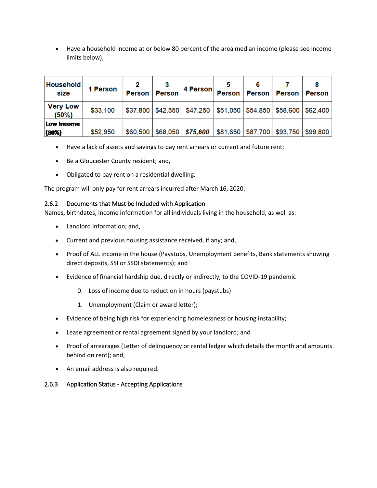• Have a household income at or below 80 percent of the area median income (please see income limits below);

| <b>Household</b><br>size    | 1 Person | Person   | <b>Person</b> | 4 Person                                             |  | Person   Person   Person   Person         |  |
|-----------------------------|----------|----------|---------------|------------------------------------------------------|--|-------------------------------------------|--|
| <b>Very Low</b><br>$(50\%)$ | \$33,100 | \$37,800 | \$42,550      | \$47,250   \$51,050   \$54,850   \$58,600   \$62,400 |  |                                           |  |
| Low Income<br>(80%)         | \$52,950 | \$60,500 |               | $$68,050$ $$75,600$                                  |  | \$81,650   \$87,700   \$93,750   \$99,800 |  |

- Have a lack of assets and savings to pay rent arrears or current and future rent;
- Be a Gloucester County resident; and,
- Obligated to pay rent on a residential dwelling.

The program will only pay for rent arrears incurred after March 16, 2020.

#### <span id="page-9-0"></span>2.6.2 Documents that Must be Included with Application

Names, birthdates, income information for all individuals living in the household, as well as:

- Landlord information; and,
- Current and previous housing assistance received, if any; and,
- Proof of ALL income in the house (Paystubs, Unemployment benefits, Bank statements showing direct deposits, SSI or SSDI statements); and
- Evidence of financial hardship due, directly or indirectly, to the COVID-19 pandemic
	- 0. Loss of income due to reduction in hours (paystubs)
	- 1. Unemployment (Claim or award letter);
- Evidence of being high risk for experiencing homelessness or housing instability;
- Lease agreement or rental agreement signed by your landlord; and
- Proof of arrearages (Letter of delinquency or rental ledger which details the month and amounts behind on rent); and,
- An email address is also required.

#### <span id="page-9-1"></span>2.6.3 Application Status - Accepting Applications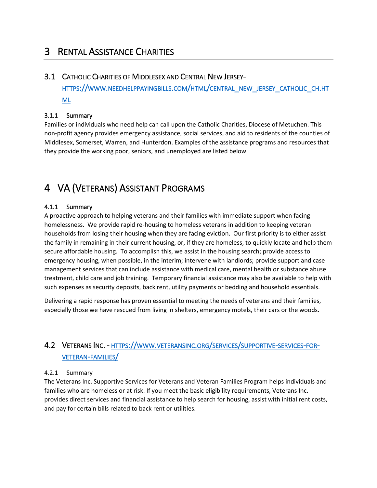## <span id="page-10-0"></span>3 RENTAL ASSISTANCE CHARITIES

#### <span id="page-10-1"></span>3.1 CATHOLIC CHARITIES OF MIDDLESEX AND CENTRAL NEW JERSEY-

HTTPS://WWW.[NEEDHELPPAYINGBILLS](https://www.needhelppayingbills.com/html/central_new_jersey_catholic_ch.html).COM/HTML/CENTRAL\_NEW\_JERSEY\_CATHOLIC\_CH.HT [ML](https://www.needhelppayingbills.com/html/central_new_jersey_catholic_ch.html)

#### <span id="page-10-2"></span>3.1.1 Summary

Families or individuals who need help can call upon the Catholic Charities, Diocese of Metuchen. This non-profit agency provides emergency assistance, social services, and aid to residents of the counties of Middlesex, Somerset, Warren, and Hunterdon. Examples of the assistance programs and resources that they provide the working poor, seniors, and unemployed are listed below

## <span id="page-10-3"></span>4 VA (VETERANS) ASSISTANT PROGRAMS

#### <span id="page-10-4"></span>4.1.1 Summary

A proactive approach to helping veterans and their families with immediate support when facing homelessness. We provide rapid re-housing to homeless veterans in addition to keeping veteran households from losing their housing when they are facing eviction. Our first priority is to either assist the family in remaining in their current housing, or, if they are homeless, to quickly locate and help them secure affordable housing. To accomplish this, we assist in the housing search; provide access to emergency housing, when possible, in the interim; intervene with landlords; provide support and case management services that can include assistance with medical care, mental health or substance abuse treatment, child care and job training. Temporary financial assistance may also be available to help with such expenses as security deposits, back rent, utility payments or bedding and household essentials.

Delivering a rapid response has proven essential to meeting the needs of veterans and their families, especially those we have rescued from living in shelters, emergency motels, their cars or the woods.

## <span id="page-10-5"></span>4.2 VETERANS INC. - HTTPS://WWW.[VETERANSINC](https://www.veteransinc.org/services/supportive-services-for-veteran-families/).ORG/SERVICES/SUPPORTIVE-SERVICES-FOR-[VETERAN](https://www.veteransinc.org/services/supportive-services-for-veteran-families/)-FAMILIES/

#### <span id="page-10-6"></span>4.2.1 Summary

The Veterans Inc. Supportive Services for Veterans and Veteran Families Program helps individuals and families who are homeless or at risk. If you meet the basic eligibility requirements, Veterans Inc. provides direct services and financial assistance to help search for housing, assist with initial rent costs, and pay for certain bills related to back rent or utilities.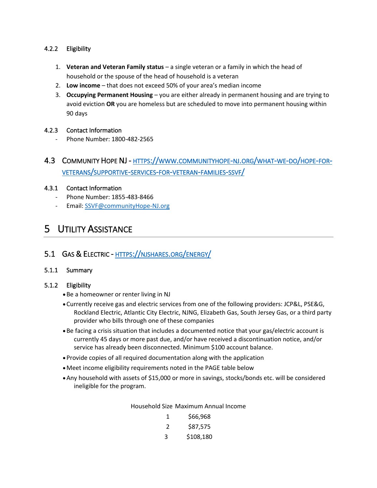#### <span id="page-11-0"></span>4.2.2 Eligibility

- 1. **Veteran and Veteran Family status** a single veteran or a family in which the head of household or the spouse of the head of household is a veteran
- 2. **Low income** that does not exceed 50% of your area's median income
- 3. **Occupying Permanent Housing** you are either already in permanent housing and are trying to avoid eviction **OR** you are homeless but are scheduled to move into permanent housing within 90 days

#### <span id="page-11-1"></span>4.2.3 Contact Information

- Phone Number: 1800-482-2565
- <span id="page-11-2"></span>4.3 COMMUNITY HOPE NJ - HTTPS://WWW.[COMMUNITYHOPE](https://www.communityhope-nj.org/what-we-do/hope-for-veterans/supportive-services-for-veteran-families-ssvf/)-NJ.ORG/WHAT-WE-DO/HOPE-FOR-VETERANS/[SUPPORTIVE](https://www.communityhope-nj.org/what-we-do/hope-for-veterans/supportive-services-for-veteran-families-ssvf/)-SERVICES-FOR-VETERAN-FAMILIES-SSVF/

#### <span id="page-11-3"></span>4.3.1 Contact Information

- Phone Number: 1855-483-8466
- Email: [SSVF@communityHope-NJ.org](mailto:SSVF@communityHope-NJ.org)

## <span id="page-11-4"></span>5 UTILITY ASSISTANCE

#### <span id="page-11-5"></span>5.1 GAS & ELECTRIC - HTTPS://[NJSHARES](https://njshares.org/energy/).ORG/ENERGY/

#### <span id="page-11-6"></span>5.1.1 Summary

#### <span id="page-11-7"></span>5.1.2 Eligibility

- •Be a homeowner or renter living in NJ
- •Currently receive gas and electric services from one of the following providers: JCP&L, PSE&G, Rockland Electric, Atlantic City Electric, NJNG, Elizabeth Gas, South Jersey Gas, or a third party provider who bills through one of these companies
- •Be facing a crisis situation that includes a documented notice that your gas/electric account is currently 45 days or more past due, and/or have received a discontinuation notice, and/or service has already been disconnected. Minimum \$100 account balance.
- •Provide copies of all required documentation along with the application
- •Meet income eligibility requirements noted in the PAGE table below
- •Any household with assets of \$15,000 or more in savings, stocks/bonds etc. will be considered ineligible for the program.

Household Size Maximum Annual Income

| 1 | \$66,968  |
|---|-----------|
| 2 | \$87,575  |
| 3 | \$108,180 |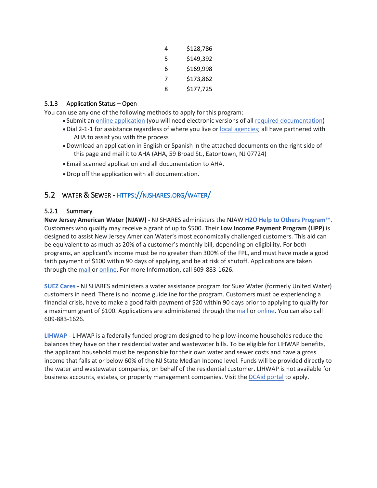| 4 | \$128,786 |
|---|-----------|
| 5 | \$149,392 |
| 6 | \$169,998 |
| 7 | \$173,862 |
| 8 | \$177,725 |

#### <span id="page-12-0"></span>5.1.3 Application Status – Open

You can use any one of the following methods to apply for this program:

- Submit an online [application](https://njpoweron.org/page/page-application1/) (you will need electronic versions of all required [documentation\)](http://www.njpoweron.org/page-requirements.html)
- •Dial 2-1-1 for assistance regardless of where you live or local [agencies;](http://www.njpoweron.org/page-application.html) all have partnered with AHA to assist you with the process
- •Download an application in English or Spanish in the attached documents on the right side of this page and mail it to AHA (AHA, 59 Broad St., Eatontown, NJ 07724)
- Email scanned application and all documentation to AHA.
- •Drop off the application with all documentation.

### <span id="page-12-1"></span>5.2 WATER & SEWER - HTTPS://[NJSHARES](https://njshares.org/water/).ORG/WATER/

#### <span id="page-12-2"></span>5.2.1 Summary

**New Jersey American Water (NJAW) -** NJ SHARES administers the NJAW **H2O Help to Others [Program](https://njshares.org/new-jersey-american-water-h2o-help-to-others-program-apply/)**™. Customers who qualify may receive a grant of up to \$500. Their **Low Income Payment Program (LIPP)** is designed to assist New Jersey American Water's most economically challenged customers. This aid can be equivalent to as much as 20% of a customer's monthly bill, depending on eligibility. For both programs, an applicant's income must be no greater than 300% of the FPL, and must have made a good faith payment of \$100 within 90 days of applying, and be at risk of shutoff. Applications are taken through the [mail](https://njshares.org/new-jersey-american-water-h2o-help-to-others-program/) or [online.](https://apply.njsharesgreen.org/login?returnUrl=%2F) For more Information, call 609-883-1626.

**SUEZ [Cares](https://njshares.org/suez-water-suez-cares-program-apply/)** - NJ SHARES administers a water assistance program for Suez Water (formerly United Water) customers in need. There is no income guideline for the program. Customers must be experiencing a financial crisis, have to make a good faith payment of \$20 within 90 days prior to applying to qualify for a maximum grant of \$100. Applications are administered through the [mail](https://njshares.org/suez-cares-program/) or [online.](https://apply.njsharesgreen.org/login?returnUrl=%2F) You can also call 609-883-1626.

**[LIHWAP](https://www.nj211.org/water-assistance-programs)** - LIHWAP is a federally funded program designed to help low-income households reduce the balances they have on their residential water and wastewater bills. To be eligible for LIHWAP benefits, the applicant household must be responsible for their own water and sewer costs and have a gross income that falls at or below 60% of the NJ State Median Income level. Funds will be provided directly to the water and wastewater companies, on behalf of the residential customer. LIHWAP is not available for business accounts, estates, or property management companies. Visit the [DCAid](https://njdca-housing.dynamics365portals.us/en-us/dcaid-services/) portal to apply.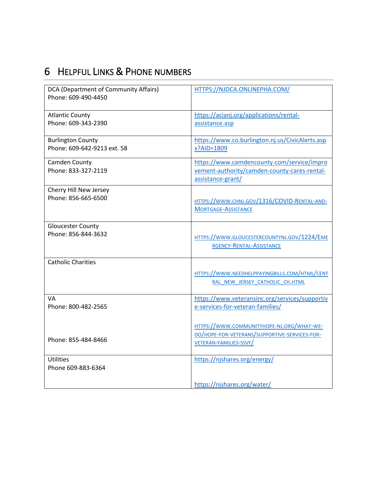# <span id="page-13-0"></span>6 HELPFUL LINKS & PHONE NUMBERS

<span id="page-13-4"></span><span id="page-13-3"></span><span id="page-13-2"></span><span id="page-13-1"></span>

| DCA (Department of Community Affairs)<br>Phone: 609-490-4450 | HTTPS://NJDCA.ONLINEPHA.COM/                    |
|--------------------------------------------------------------|-------------------------------------------------|
|                                                              |                                                 |
| <b>Atlantic County</b>                                       | https://acianj.org/applications/rental-         |
| Phone: 609-343-2390                                          | assistance.asp                                  |
| <b>Burlington County</b>                                     | https://www.co.burlington.nj.us/CivicAlerts.asp |
| Phone: 609-642-9213 ext. 58                                  | x?AID=1809                                      |
| Camden County                                                | https://www.camdencounty.com/service/impro      |
| Phone: 833-327-2119                                          | vement-authority/camden-county-cares-rental-    |
|                                                              | assistance-grant/                               |
| Cherry Hill New Jersey                                       |                                                 |
| Phone: 856-665-6500                                          | HTTPS://WWW.CHNJ.GOV/1316/COVID-RENTAL-AND-     |
|                                                              | <b>MORTGAGE-ASSISTANCE</b>                      |
|                                                              |                                                 |
| <b>Gloucester County</b>                                     |                                                 |
| Phone: 856-844-3632                                          | HTTPS://WWW.GLOUCESTERCOUNTYNJ.GOV/1224/EME     |
|                                                              | RGENCY-RENTAL-ASSISTANCE                        |
| <b>Catholic Charities</b>                                    |                                                 |
|                                                              |                                                 |
|                                                              | HTTPS://WWW.NEEDHELPPAYINGBILLS.COM/HTML/CENT   |
|                                                              | RAL NEW JERSEY CATHOLIC CH.HTML                 |
| VA                                                           | https://www.veteransinc.org/services/supportiv  |
| Phone: 800-482-2565                                          | e-services-for-veteran-families/                |
|                                                              |                                                 |
|                                                              | HTTPS://WWW.COMMUNITYHOPE-NJ.ORG/WHAT-WE-       |
| Phone: 855-484-8466                                          | DO/HOPE-FOR-VETERANS/SUPPORTIVE-SERVICES-FOR-   |
|                                                              | VETERAN-FAMILIES-SSVF/                          |
| <b>Utilities</b>                                             | https://njshares.org/energy/                    |
| Phone 609-883-6364                                           |                                                 |
|                                                              |                                                 |
|                                                              | https://njshares.org/water/                     |